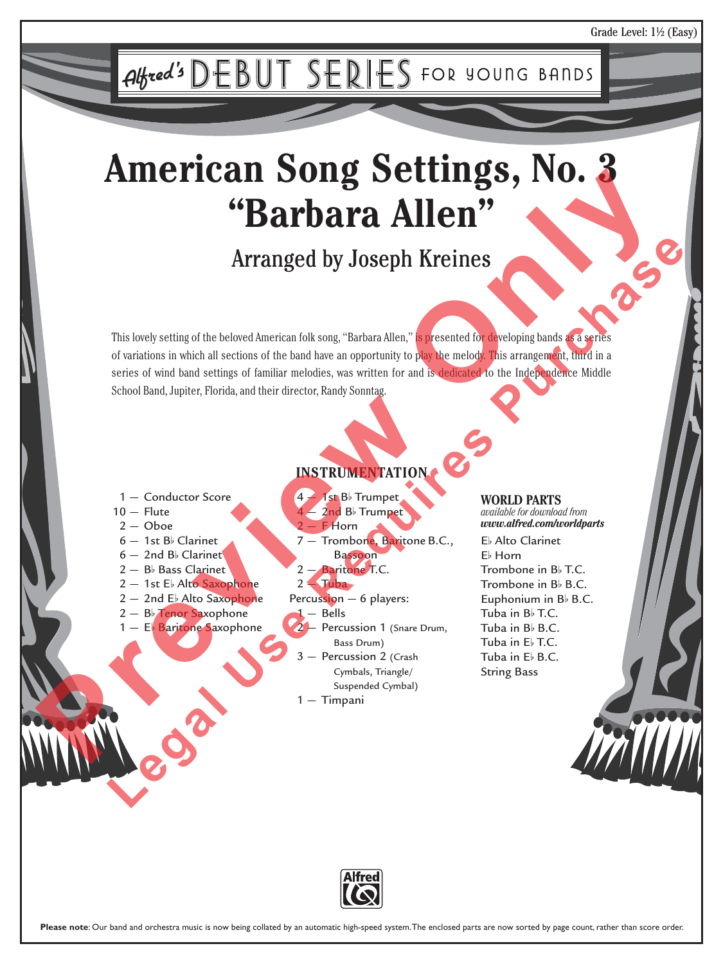# Alfred's DEBUT SERIES FOR YOUNG BANDS

# **American Song Settings, No. 3 "Barbara Allen"**

Arranged by Joseph Kreines

This lovely setting of the beloved American folk song, "Barbara Allen," is presented for developing bands as a series of variations in which all sections of the band have an opportunity to play the melody. This arrangement, third in a series of wind band settings of familiar melodies, was written for and is dedicated to the Independence Middle School Band, Jupiter, Florida, and their director, Randy Sonntag. **Preview Seconds Allen With the Second Allen With the Second Allen With the Second Allen With the Second Allen With the Second Allen With the Second Allen With the Second Allen With the Second Allen With the Second Allen W** Arranged by Joseph Kreines<br>
This looky selling of the beheat dominion folk song. "Barbara Alba"<br>
Caracteris of which and the contraction of the contraction of the self-of the contraction of the contraction of the contracti

- 1 Conductor Score
- $10 -$ Flute
- $2 -$  Oboe
- $6 1$ st B $\frac{1}{2}$  Clarinet
- $6 2$ nd B<sub>b</sub> Clarinet
- $2 B$ <sub>b</sub> Bass Clarinet
- 2 1st Eb Alto Saxophone
- 2nd Eb Alto Saxophone
	- Bb Tenor Saxophone
- Eb Baritone Saxophone

### **INSTRUMENTATION**

4 **1st B** Trumpet  $-$  2nd Bb Trumpet **E** Horn Trombone, Baritone B.C., Bassoon Baritone T.C.

- $2 -$ Tuba Percussion — 6 players:  $-$  Bells - Percussion 1 (Snare Drum, Bass Drum)  $3$  – Percussion 2 (Crash
	- Cymbals, Triangle/ Suspended Cymbal)  $1 -$ Timpani

**WORLD PARTS** *available for download from*

*www.alfred.com/worldparts*

Eb Alto Clarinet Eb Horn Trombone in Bb T.C. Trombone in B<sub>b</sub> B.C. Euphonium in  $B$ <sub>b</sub> B.C. Tuba in B<sub>b</sub> T.C. Tuba in  $B$ <sub>b</sub> B.C. Tuba in Eb T.C. Tuba in Eb B.C. String Bass

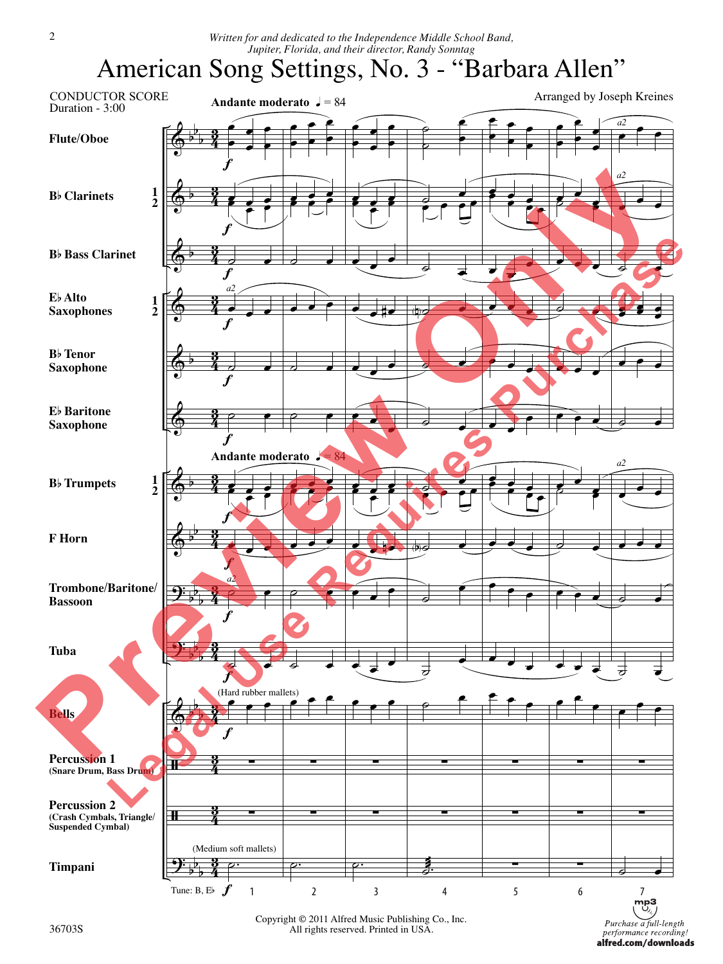*Written for and dedicated to the Independence Middle School Band, Jupiter, Florida, and their director, Randy Sonntag*

### $\circ$  $\circledast$  $\circledast$  $\circledast$  $\circ$  $\circledast$  $\circledast$  $\circledast$ <u>ງ:</u>  $\overline{\mathbf{P}}$  $\Theta$  $\bf{R}$  $\bf{H}$ <u>J:</u> b b b **b**<br>
<br>
<br>
<br>
<br>
<br><br><br><br><br><br> **b**<br>
<br>
<br>
<br>
<br>
<br><br><br><br><br><br> b b **b**<br>
<br>
<br>
<br>
<br>
<br><br><br><br><br><br> b b b b b b b b b<br>b b b b 4 <u>3</u><br>4 4 <u>3</u><br>2 4 <u>3</u><br>2 4 3<br>4 4 <u>3</u><br>2 4  $\frac{3}{4}$ 4 3<br>4 4  $\frac{3}{4}$ 4  $\frac{3}{4}$ 4 3<br>24 4 3 4 3<br>4 4 <u>3</u><br>4 4  $\boldsymbol{\mathcal{\hat{Z}}}$ **<sup>B</sup>**b **Clarinets <sup>B</sup>**b **Trumpets Trombone/Baritone/ Bassoon 1 2 1 2 Percussion 1 (Snare Drum, Bass Drum) Flute/Oboe <sup>B</sup>**b **Bass Clarinet <sup>E</sup>**b **Alto Saxophones <sup>B</sup>**b **Tenor Saxophone <sup>E</sup>**b **Baritone Saxophone F Horn Tuba Bells Percussion 2 (Crash Cymbals, Triangle/ Suspended Cymbal) 1 2 Timpani** É  $\frac{\mathbf{c}}{\mathbf{c}}$ œ œ œ œœ <sup>œ</sup> <sup>œ</sup> <sup>œ</sup> <sup>œ</sup> d ●<br>f œ œ œ d ●<br>f  $\sim$   $\sim$ œœ <sup>œ</sup> <sup>œ</sup> <sup>œ</sup> <sup>œ</sup> œ œ œ  $\begin{array}{c} \begin{array}{c} \hline \hline \hline \hline \hline \end{array} \end{array}$ ˙ œ  $\qquad \qquad \qquad$ ∑ ∑ 1  $\mathbb{P}$ *a2* (Hard rubber mallets) f (Medium soft mallets) f f t<br>a f f *f*<br>Andante moderato  $\sqrt{84}$  $\overline{I}$ f f f Tune: B, Eb  $f$ **Andante moderato**  $\sqrt{ } = 84$ *a2* œ œ œ œ è œ <sup>œ</sup> <sup>œ</sup> <sup>œ</sup> <sup>œ</sup> <sup>œ</sup> <sup>œ</sup> *。*  $\overrightarrow{e}$ *。*  $\sim$   $\sim$ <sup>œ</sup> <sup>œ</sup> <sup>œ</sup> <sup>œ</sup> <sup>œ</sup> <sup>œ</sup>  $\qquad \qquad$  $\sim$   $\sim$ ˙ œ  $\overset{\text{\tiny{(S)}}}{\longrightarrow}$ ∑ ∑ 2 ˙. œ —<br>●<br>● œ œ œ  $\begin{pmatrix} 1 & 1 \\ 1 & 1 \end{pmatrix}$  $\overline{\mathcal{C}}$  $\overline{\phantom{a}}$  $\overline{\phantom{a}}$ <sup>œ</sup> <sup>œ</sup> <sup>œ</sup>  $\begin{pmatrix} 1 & 1 \\ 1 & 1 \end{pmatrix}$ œ œ œn  $\frac{1}{\sqrt{2}}$ स्±∙ œ œ œ ∑ ∑ 3 ˙. ˙ ˙ É œ **。。。**<br>○  $\frac{1}{\sqrt{2}}$  $\overline{\mathbb{R}}$ ˙ œ  $\overline{\ }$ **Ö**  $\phi$   $\phi$  $\frac{1}{\alpha}$  $\frac{1}{\sigma}$  $\overline{\ }$ ∑ ∑ 4  $\ddot{\theta}$ æ. œ œ œ œ œ œ  $\epsilon$   $\epsilon$ <sup>œ</sup> <sup>œ</sup> <sup>œ</sup> œ œ œ <sup>œ</sup> <sup>œ</sup> <sup>œ</sup> <sup>œ</sup> <sup>œ</sup> <sup>œ</sup>  $\epsilon$   $\epsilon$   $\epsilon$  $\overline{\phantom{a}}$  $\qquad \qquad$  $\overline{\phantom{a}}$  $\epsilon$   $\rightarrow$ ∑ ∑ 5 ∑ œ œ È  $\mathbf{e}$ œ ₽<del></del> œ œ œ  $\frac{d}{dt}$ œ œ œ œ œ œ  $e^{\theta}$  $\phi$  $\begin{tabular}{|c|c|c|c|c|} \hline \quad \quad & \quad \quad & \quad \quad & \quad \quad \\ \hline \quad \quad & \quad \quad & \quad \quad & \quad \quad \\ \hline \quad \quad & \quad \quad & \quad \quad & \quad \quad \\ \hline \end{tabular}$  $e \rightarrow$  $\begin{array}{c} \begin{array}{c} \text{e} & \text{e} \\ \hline \end{array} \end{array}$ ∑ ∑ 6 ∑  $\frac{1}{\sqrt{2}}$ œ œ œ  $\epsilon$ <mark>. .</mark> . Ĭ<br>  $\qquad \qquad \bullet$  $\phi$   $\qquad$  $\overline{\phantom{a}}$ œ œ œ  $\phi \longrightarrow$  $\vec{e}$  $\frac{e}{\sqrt{2}}$ ∑ ∑ 7 ˙ œ *a2 a2 a2* Arranged by Joseph Kreines American Song Settings, No. 3 - "Barbara Allen" CONDUCTOR SCORE Duration - 3:00 **Preview Only 1990** Legal Use Requires Purchase Purchase Purchase Purchase Purchase Purchase Purchase Purchase Purchase Purchase Purchase Purchase Purchase Purchase Purchase Purchase Purchase Purchase Purchase Purchase Purchase Purchase Purch

Copyright © 2011 Alfred Music Publishing Co., Inc. All rights reserved. Printed in USA.

Purchase a full-length<br>performance recording! alfred.com/downloads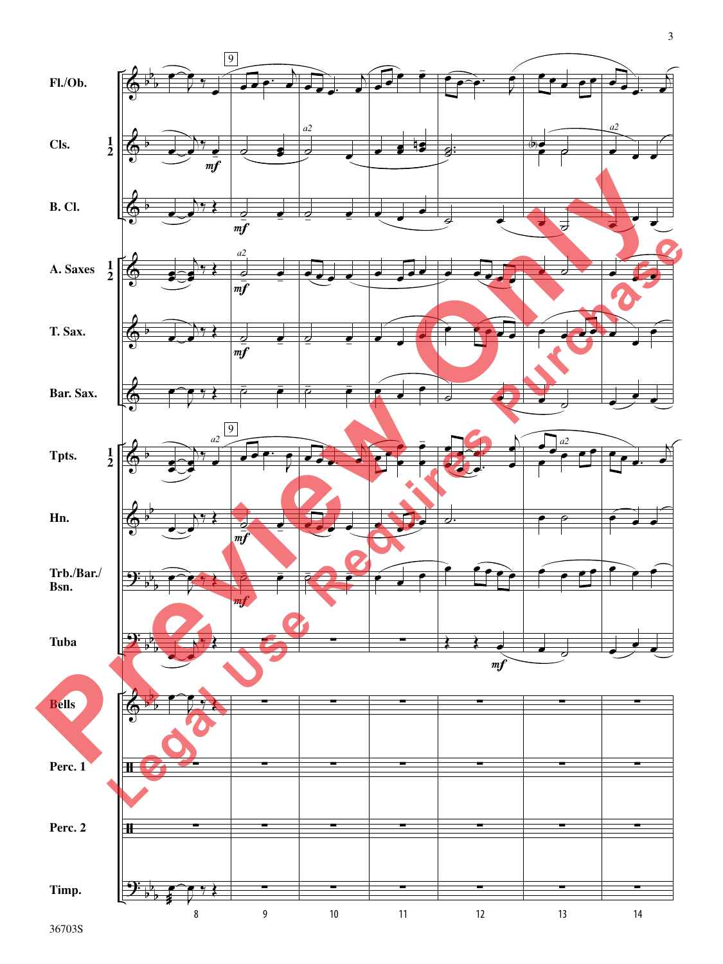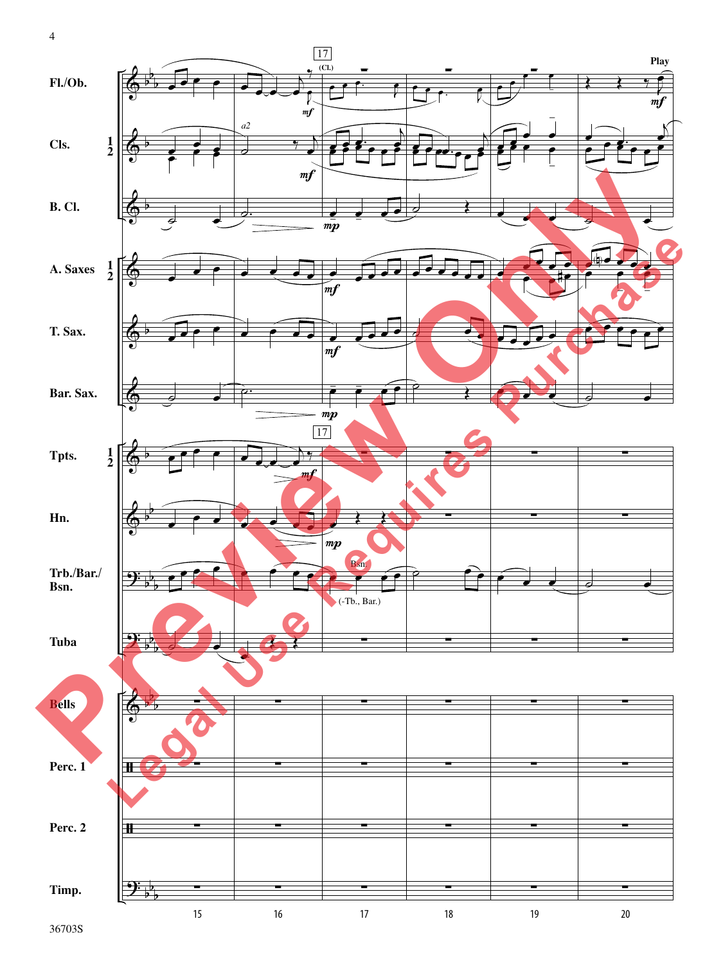

4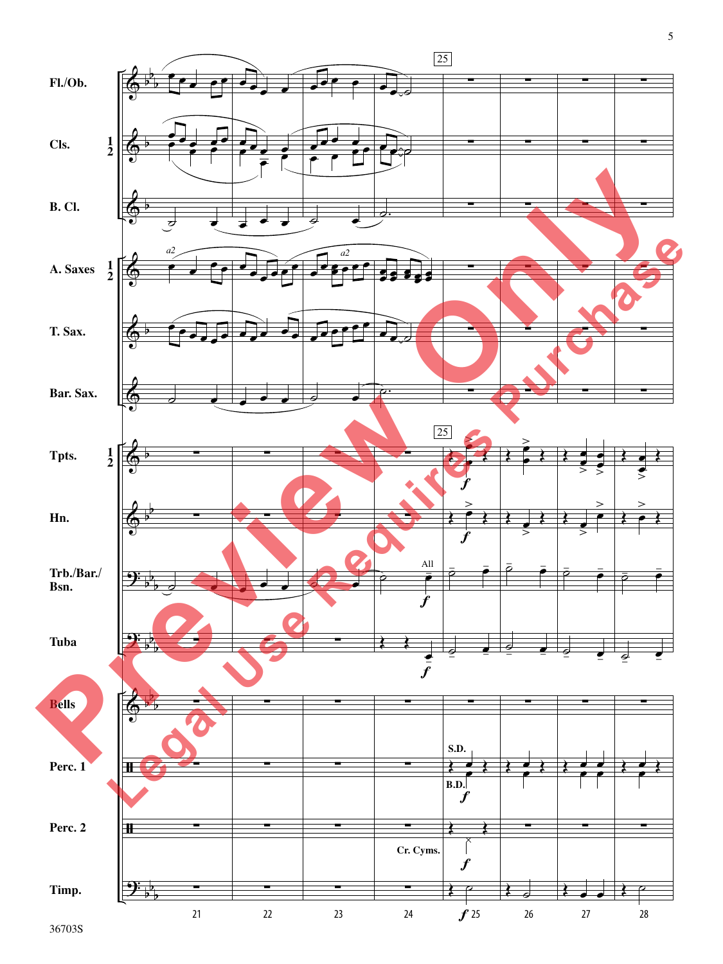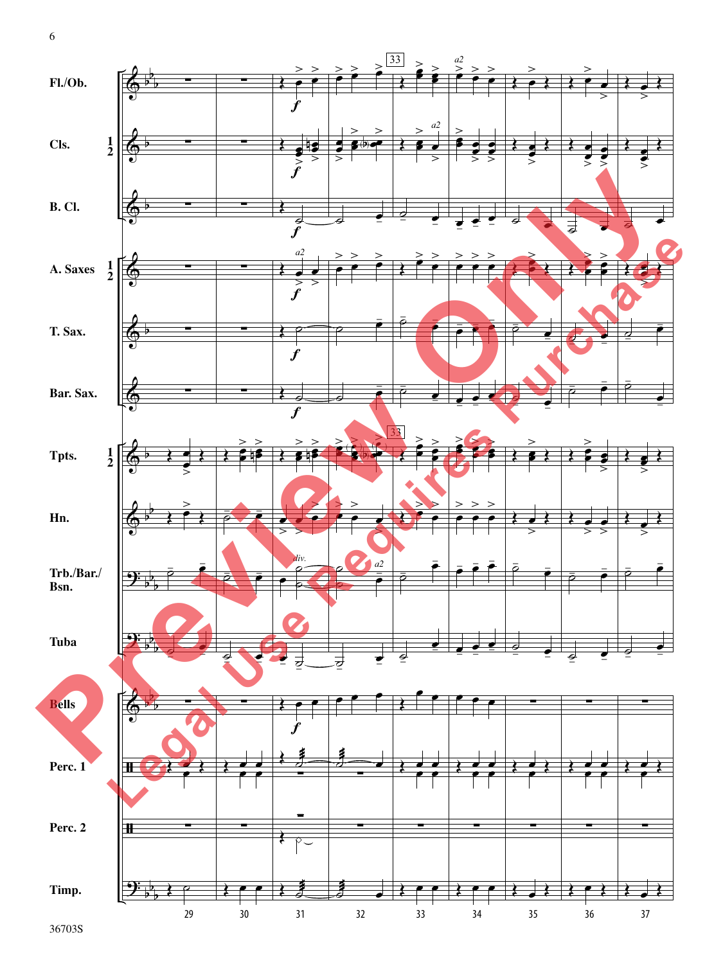

36703S

 $\sqrt{6}$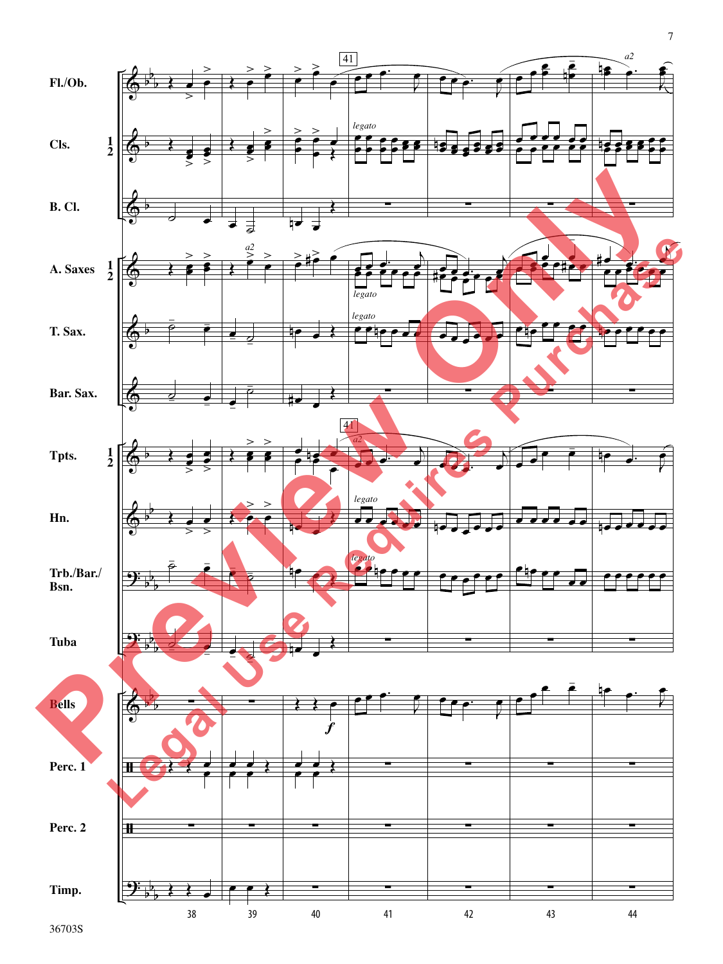

7

36703S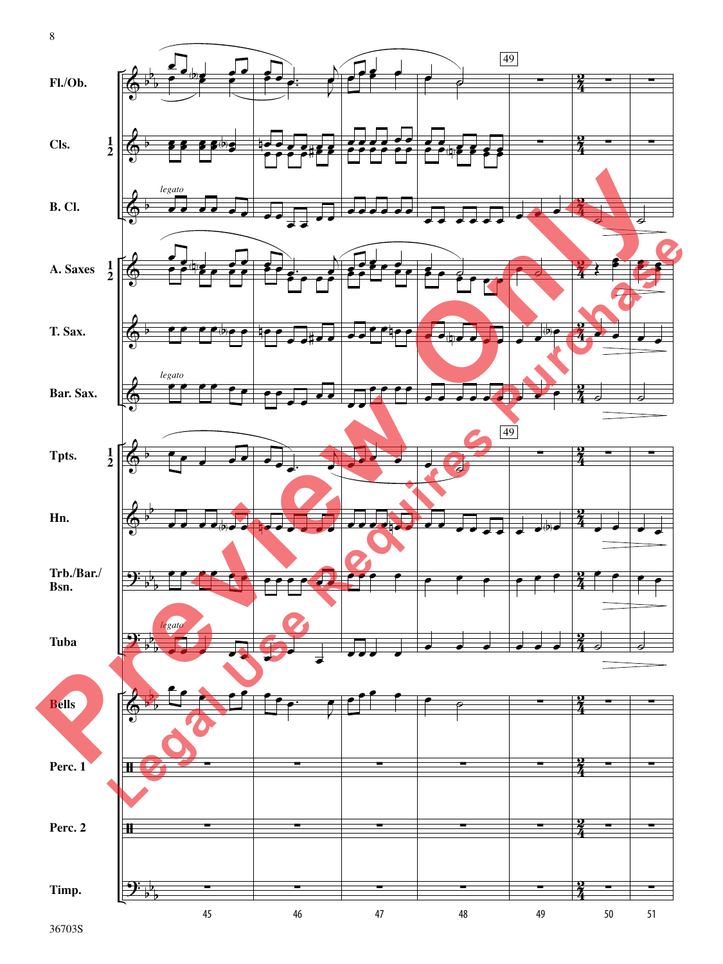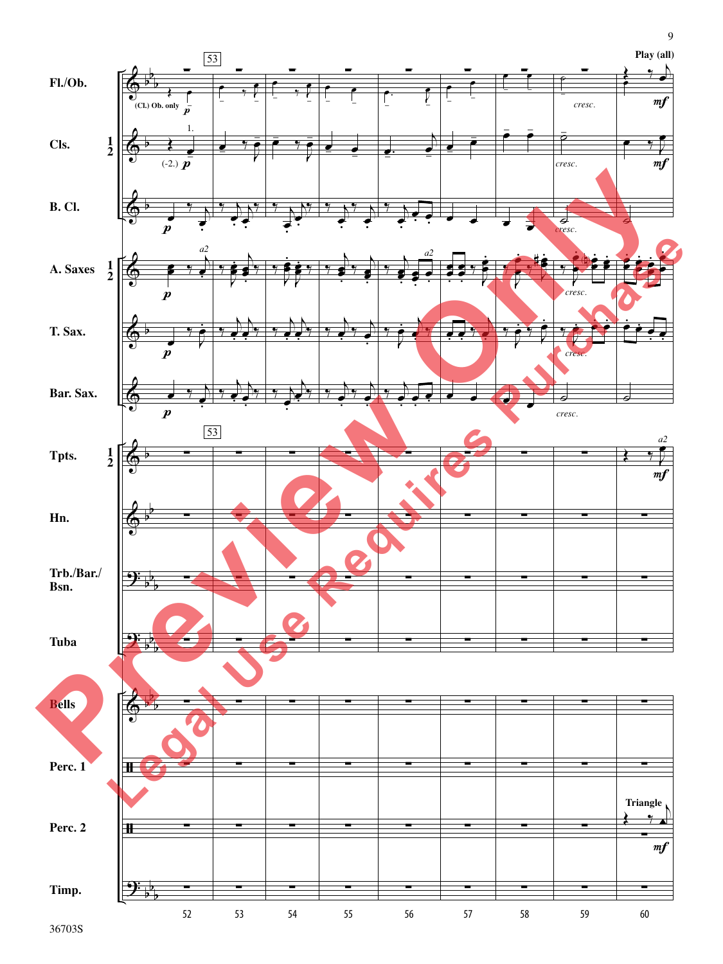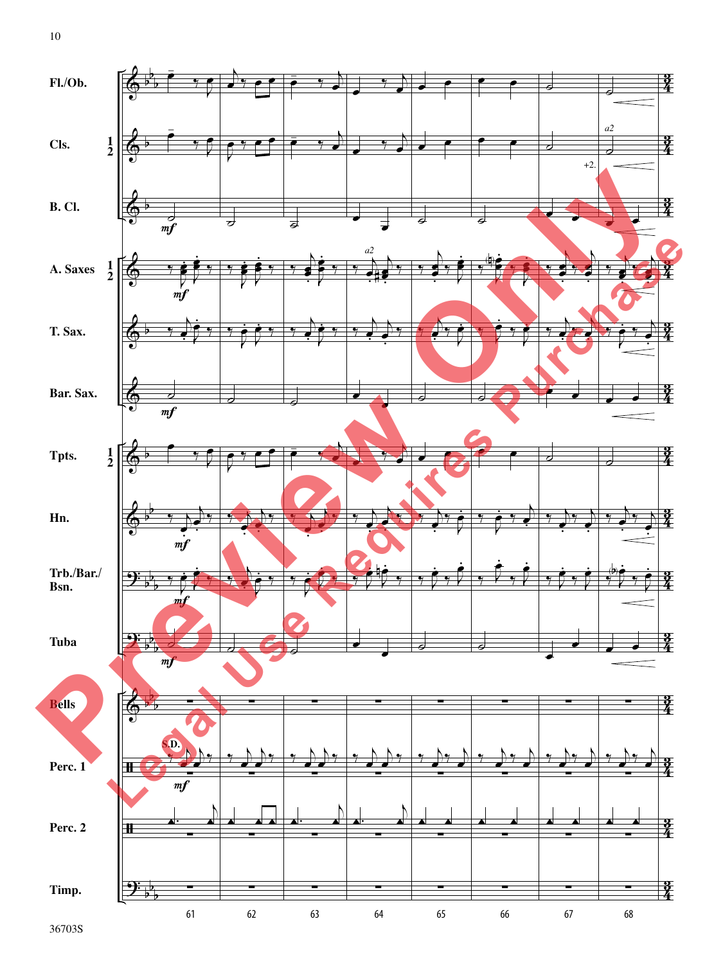

36703S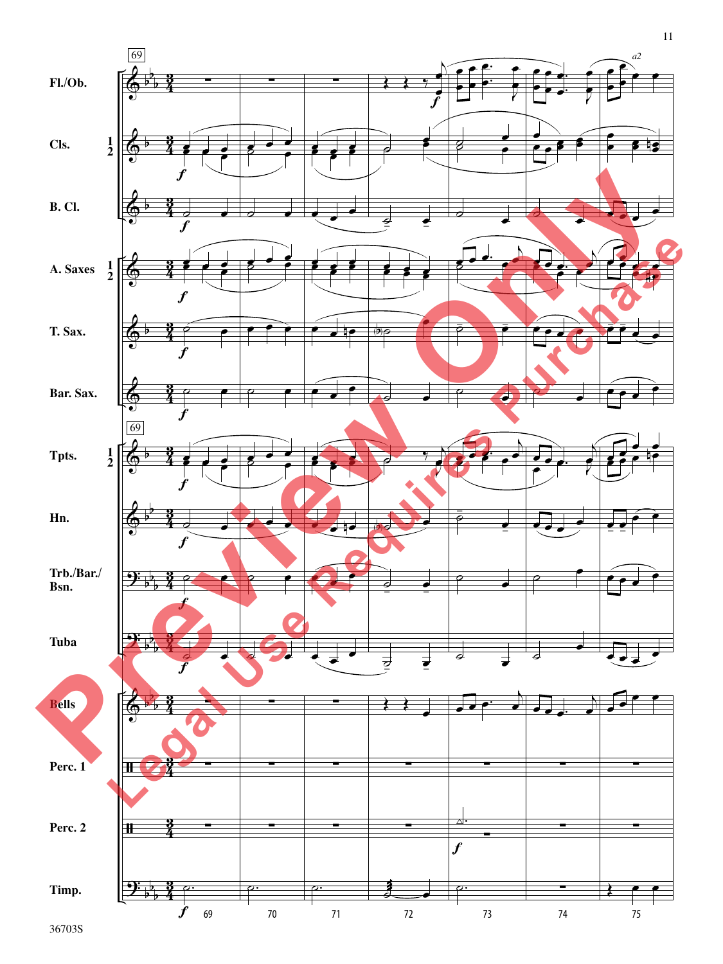